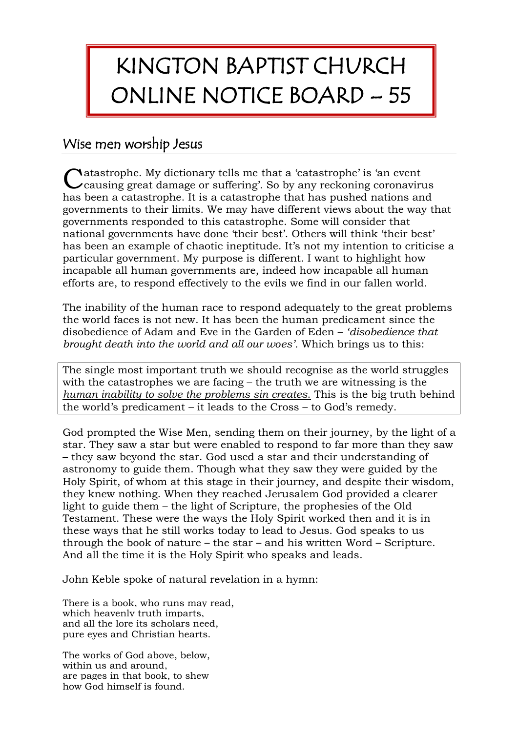## KINGTON BAPTIST CHURCH ONLINE NOTICE BOARD – 55

## Wise men worship Jesus

Catastrophe. My dictionary tells me that a 'catastrophe' is 'an event causing great damage or suffering'. So by any reckoning coronaviru causing great damage or suffering'. So by any reckoning coronavirus has been a catastrophe. It is a catastrophe that has pushed nations and governments to their limits. We may have different views about the way that governments responded to this catastrophe. Some will consider that national governments have done 'their best'. Others will think 'their best' has been an example of chaotic ineptitude. It's not my intention to criticise a particular government. My purpose is different. I want to highlight how incapable all human governments are, indeed how incapable all human efforts are, to respond effectively to the evils we find in our fallen world.

The inability of the human race to respond adequately to the great problems the world faces is not new. It has been the human predicament since the disobedience of Adam and Eve in the Garden of Eden – *'disobedience that brought death into the world and all our woes'.* Which brings us to this:

The single most important truth we should recognise as the world struggles with the catastrophes we are facing – the truth we are witnessing is the *human inability to solve the problems sin creates*. This is the big truth behind the world's predicament – it leads to the Cross – to God's remedy.

God prompted the Wise Men, sending them on their journey, by the light of a star. They saw a star but were enabled to respond to far more than they saw – they saw beyond the star. God used a star and their understanding of astronomy to guide them. Though what they saw they were guided by the Holy Spirit, of whom at this stage in their journey, and despite their wisdom, they knew nothing. When they reached Jerusalem God provided a clearer light to guide them – the light of Scripture, the prophesies of the Old Testament. These were the ways the Holy Spirit worked then and it is in these ways that he still works today to lead to Jesus. God speaks to us through the book of nature – the star – and his written Word – Scripture. And all the time it is the Holy Spirit who speaks and leads.

John Keble spoke of natural revelation in a hymn:

There is a book, who runs may read, which heavenly truth imparts, and all the lore its scholars need, pure eyes and Christian hearts.

The works of God above, below, within us and around, are pages in that book, to shew how God himself is found.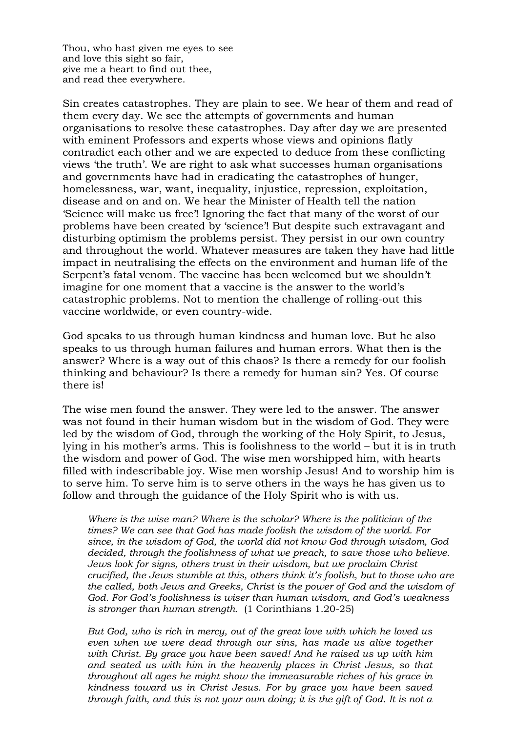Thou, who hast given me eyes to see and love this sight so fair, give me a heart to find out thee, and read thee everywhere.

Sin creates catastrophes. They are plain to see. We hear of them and read of them every day. We see the attempts of governments and human organisations to resolve these catastrophes. Day after day we are presented with eminent Professors and experts whose views and opinions flatly contradict each other and we are expected to deduce from these conflicting views 'the truth'. We are right to ask what successes human organisations and governments have had in eradicating the catastrophes of hunger, homelessness, war, want, inequality, injustice, repression, exploitation, disease and on and on. We hear the Minister of Health tell the nation 'Science will make us free'! Ignoring the fact that many of the worst of our problems have been created by 'science'! But despite such extravagant and disturbing optimism the problems persist. They persist in our own country and throughout the world. Whatever measures are taken they have had little impact in neutralising the effects on the environment and human life of the Serpent's fatal venom. The vaccine has been welcomed but we shouldn't imagine for one moment that a vaccine is the answer to the world's catastrophic problems. Not to mention the challenge of rolling-out this vaccine worldwide, or even country-wide.

God speaks to us through human kindness and human love. But he also speaks to us through human failures and human errors. What then is the answer? Where is a way out of this chaos? Is there a remedy for our foolish thinking and behaviour? Is there a remedy for human sin? Yes. Of course there is!

The wise men found the answer. They were led to the answer. The answer was not found in their human wisdom but in the wisdom of God. They were led by the wisdom of God, through the working of the Holy Spirit, to Jesus, lying in his mother's arms. This is foolishness to the world – but it is in truth the wisdom and power of God. The wise men worshipped him, with hearts filled with indescribable joy. Wise men worship Jesus! And to worship him is to serve him. To serve him is to serve others in the ways he has given us to follow and through the guidance of the Holy Spirit who is with us.

*Where is the wise man? Where is the scholar? Where is the politician of the times? We can see that God has made foolish the wisdom of the world. For since, in the wisdom of God, the world did not know God through wisdom, God decided, through the foolishness of what we preach, to save those who believe. Jews look for signs, others trust in their wisdom, but we proclaim Christ crucified, the Jews stumble at this, others think it's foolish, but to those who are the called, both Jews and Greeks, Christ is the power of God and the wisdom of God. For God's foolishness is wiser than human wisdom, and God's weakness is stronger than human strength.* (1 Corinthians 1.20-25)

*But God, who is rich in mercy, out of the great love with which he loved us even when we were dead through our sins, has made us alive together with Christ. By grace you have been saved! And he raised us up with him and seated us with him in the heavenly places in Christ Jesus, so that throughout all ages he might show the immeasurable riches of his grace in kindness toward us in Christ Jesus. For by grace you have been saved through faith, and this is not your own doing; it is the gift of God. It is not a*